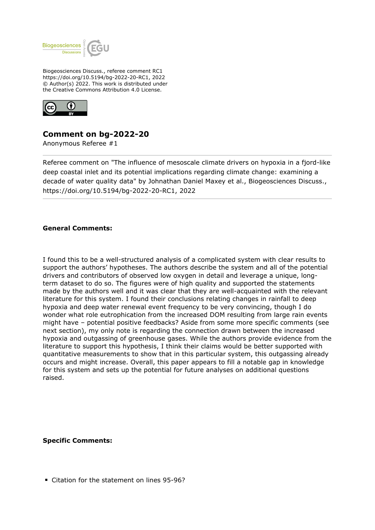

Biogeosciences Discuss., referee comment RC1 https://doi.org/10.5194/bg-2022-20-RC1, 2022 © Author(s) 2022. This work is distributed under the Creative Commons Attribution 4.0 License.



## **Comment on bg-2022-20**

Anonymous Referee #1

Referee comment on "The influence of mesoscale climate drivers on hypoxia in a fjord-like deep coastal inlet and its potential implications regarding climate change: examining a decade of water quality data" by Johnathan Daniel Maxey et al., Biogeosciences Discuss., https://doi.org/10.5194/bg-2022-20-RC1, 2022

## **General Comments:**

I found this to be a well-structured analysis of a complicated system with clear results to support the authors' hypotheses. The authors describe the system and all of the potential drivers and contributors of observed low oxygen in detail and leverage a unique, longterm dataset to do so. The figures were of high quality and supported the statements made by the authors well and it was clear that they are well-acquainted with the relevant literature for this system. I found their conclusions relating changes in rainfall to deep hypoxia and deep water renewal event frequency to be very convincing, though I do wonder what role eutrophication from the increased DOM resulting from large rain events might have – potential positive feedbacks? Aside from some more specific comments (see next section), my only note is regarding the connection drawn between the increased hypoxia and outgassing of greenhouse gases. While the authors provide evidence from the literature to support this hypothesis, I think their claims would be better supported with quantitative measurements to show that in this particular system, this outgassing already occurs and might increase. Overall, this paper appears to fill a notable gap in knowledge for this system and sets up the potential for future analyses on additional questions raised.

## **Specific Comments:**

Citation for the statement on lines 95-96?